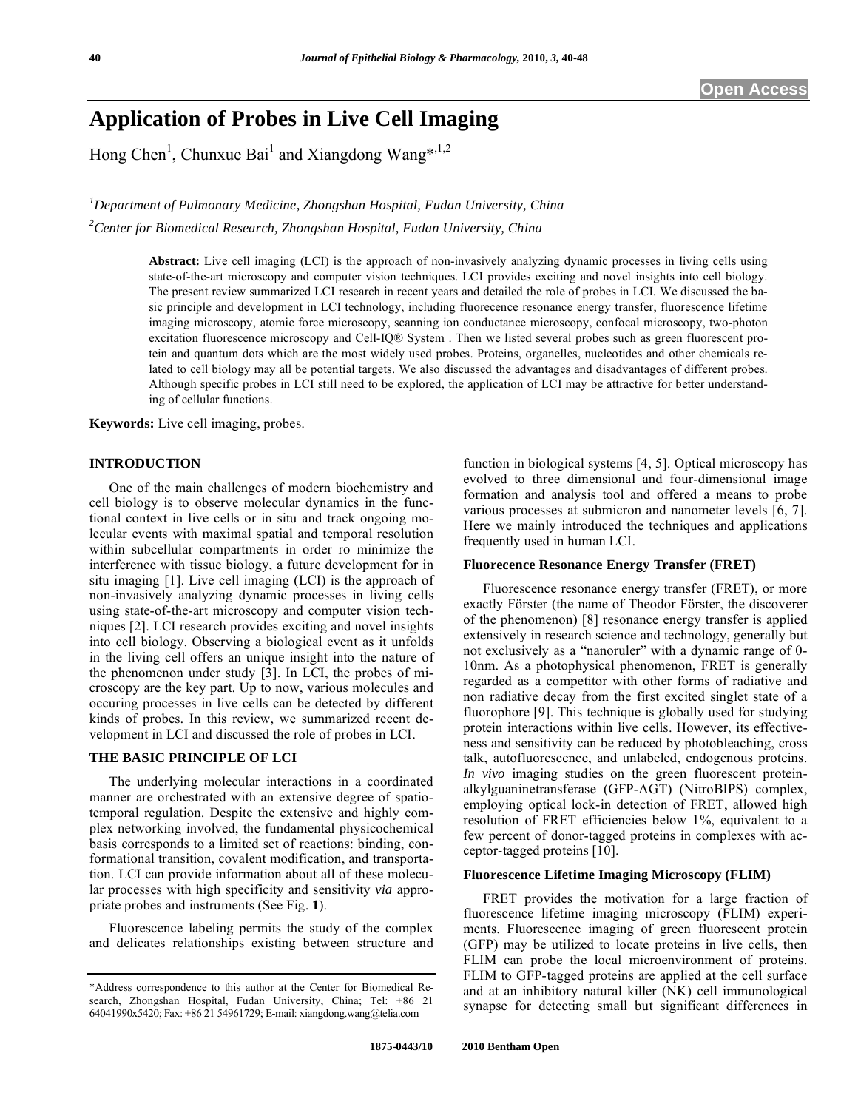# **Application of Probes in Live Cell Imaging**

Hong Chen<sup>1</sup>, Chunxue Bai<sup>1</sup> and Xiangdong Wang\*,<sup>1,2</sup>

*1 Department of Pulmonary Medicine, Zhongshan Hospital, Fudan University, China 2 Center for Biomedical Research, Zhongshan Hospital, Fudan University, China* 

> **Abstract:** Live cell imaging (LCI) is the approach of non-invasively analyzing dynamic processes in living cells using state-of-the-art microscopy and computer vision techniques. LCI provides exciting and novel insights into cell biology. The present review summarized LCI research in recent years and detailed the role of probes in LCI. We discussed the basic principle and development in LCI technology, including fluorecence resonance energy transfer, fluorescence lifetime imaging microscopy, atomic force microscopy, scanning ion conductance microscopy, confocal microscopy, two-photon excitation fluorescence microscopy and Cell-IQ® System . Then we listed several probes such as green fluorescent protein and quantum dots which are the most widely used probes. Proteins, organelles, nucleotides and other chemicals related to cell biology may all be potential targets. We also discussed the advantages and disadvantages of different probes. Although specific probes in LCI still need to be explored, the application of LCI may be attractive for better understanding of cellular functions.

**Keywords:** Live cell imaging, probes.

# **INTRODUCTION**

 One of the main challenges of modern biochemistry and cell biology is to observe molecular dynamics in the functional context in live cells or in situ and track ongoing molecular events with maximal spatial and temporal resolution within subcellular compartments in order ro minimize the interference with tissue biology, a future development for in situ imaging [1]. Live cell imaging (LCI) is the approach of non-invasively analyzing dynamic processes in living cells using state-of-the-art microscopy and computer vision techniques [2]. LCI research provides exciting and novel insights into cell biology. Observing a biological event as it unfolds in the living cell offers an unique insight into the nature of the phenomenon under study [3]. In LCI, the probes of microscopy are the key part. Up to now, various molecules and occuring processes in live cells can be detected by different kinds of probes. In this review, we summarized recent development in LCI and discussed the role of probes in LCI.

# **THE BASIC PRINCIPLE OF LCI**

 The underlying molecular interactions in a coordinated manner are orchestrated with an extensive degree of spatiotemporal regulation. Despite the extensive and highly complex networking involved, the fundamental physicochemical basis corresponds to a limited set of reactions: binding, conformational transition, covalent modification, and transportation. LCI can provide information about all of these molecular processes with high specificity and sensitivity *via* appropriate probes and instruments (See Fig. **1**).

 Fluorescence labeling permits the study of the complex and delicates relationships existing between structure and function in biological systems [4, 5]. Optical microscopy has evolved to three dimensional and four-dimensional image formation and analysis tool and offered a means to probe various processes at submicron and nanometer levels [6, 7]. Here we mainly introduced the techniques and applications frequently used in human LCI.

#### **Fluorecence Resonance Energy Transfer (FRET)**

 Fluorescence resonance energy transfer (FRET), or more exactly Förster (the name of Theodor Förster, the discoverer of the phenomenon) [8] resonance energy transfer is applied extensively in research science and technology, generally but not exclusively as a "nanoruler" with a dynamic range of 0- 10nm. As a photophysical phenomenon, FRET is generally regarded as a competitor with other forms of radiative and non radiative decay from the first excited singlet state of a fluorophore [9]. This technique is globally used for studying protein interactions within live cells. However, its effectiveness and sensitivity can be reduced by photobleaching, cross talk, autofluorescence, and unlabeled, endogenous proteins. *In vivo* imaging studies on the green fluorescent proteinalkylguaninetransferase (GFP-AGT) (NitroBIPS) complex, employing optical lock-in detection of FRET, allowed high resolution of FRET efficiencies below 1%, equivalent to a few percent of donor-tagged proteins in complexes with acceptor-tagged proteins [10].

# **Fluorescence Lifetime Imaging Microscopy (FLIM)**

 FRET provides the motivation for a large fraction of fluorescence lifetime imaging microscopy (FLIM) experiments. Fluorescence imaging of green fluorescent protein (GFP) may be utilized to locate proteins in live cells, then FLIM can probe the local microenvironment of proteins. FLIM to GFP-tagged proteins are applied at the cell surface and at an inhibitory natural killer (NK) cell immunological synapse for detecting small but significant differences in

<sup>\*</sup>Address correspondence to this author at the Center for Biomedical Research, Zhongshan Hospital, Fudan University, China; Tel: +86 21 64041990x5420; Fax: +86 21 54961729; E-mail: xiangdong.wang@telia.com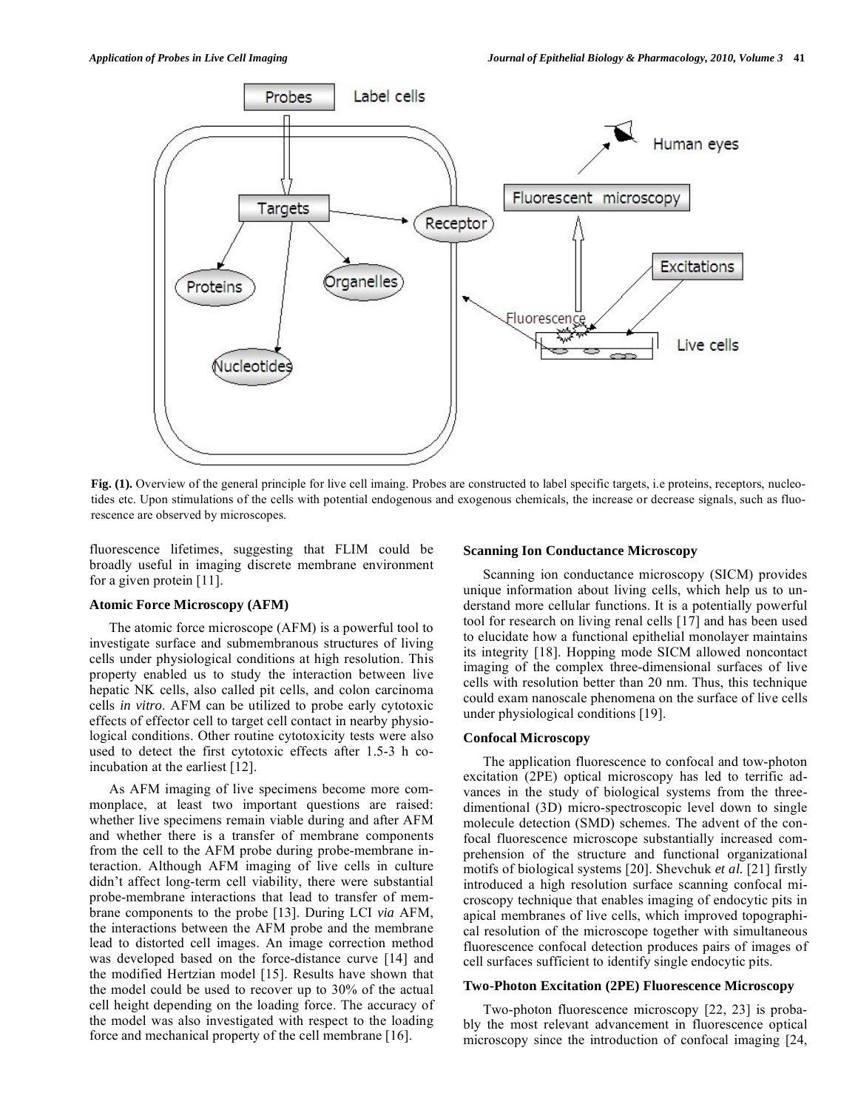

Fig. (1). Overview of the general principle for live cell imaing. Probes are constructed to label specific targets, i.e proteins, receptors, nucleotides etc. Upon stimulations of the cells with potential endogenous and exogenous chemicals, the increase or decrease signals, such as fluorescence are observed by microscopes.

fluorescence lifetimes, suggesting that FLIM could be broadly useful in imaging discrete membrane environment for a given protein [11].

### **Atomic Force Microscopy (AFM)**

 The atomic force microscope (AFM) is a powerful tool to investigate surface and submembranous structures of living cells under physiological conditions at high resolution. This property enabled us to study the interaction between live hepatic NK cells, also called pit cells, and colon carcinoma cells *in vitro*. AFM can be utilized to probe early cytotoxic effects of effector cell to target cell contact in nearby physiological conditions. Other routine cytotoxicity tests were also used to detect the first cytotoxic effects after 1.5-3 h coincubation at the earliest [12].

 As AFM imaging of live specimens become more commonplace, at least two important questions are raised: whether live specimens remain viable during and after AFM and whether there is a transfer of membrane components from the cell to the AFM probe during probe-membrane interaction. Although AFM imaging of live cells in culture didn't affect long-term cell viability, there were substantial probe-membrane interactions that lead to transfer of membrane components to the probe [13]. During LCI *via* AFM, the interactions between the AFM probe and the membrane lead to distorted cell images. An image correction method was developed based on the force-distance curve [14] and the modified Hertzian model [15]. Results have shown that the model could be used to recover up to 30% of the actual cell height depending on the loading force. The accuracy of the model was also investigated with respect to the loading force and mechanical property of the cell membrane [16].

#### **Scanning Ion Conductance Microscopy**

 Scanning ion conductance microscopy (SICM) provides unique information about living cells, which help us to understand more cellular functions. It is a potentially powerful tool for research on living renal cells [17] and has been used to elucidate how a functional epithelial monolayer maintains its integrity [18]. Hopping mode SICM allowed noncontact imaging of the complex three-dimensional surfaces of live cells with resolution better than 20 nm. Thus, this technique could exam nanoscale phenomena on the surface of live cells under physiological conditions [19].

# **Confocal Microscopy**

 The application fluorescence to confocal and tow-photon excitation (2PE) optical microscopy has led to terrific advances in the study of biological systems from the threedimentional (3D) micro-spectroscopic level down to single molecule detection (SMD) schemes. The advent of the confocal fluorescence microscope substantially increased comprehension of the structure and functional organizational motifs of biological systems [20]. Shevchuk *et al.* [21] firstly introduced a high resolution surface scanning confocal microscopy technique that enables imaging of endocytic pits in apical membranes of live cells, which improved topographical resolution of the microscope together with simultaneous fluorescence confocal detection produces pairs of images of cell surfaces sufficient to identify single endocytic pits.

# **Two-Photon Excitation (2PE) Fluorescence Microscopy**

 Two-photon fluorescence microscopy [22, 23] is probably the most relevant advancement in fluorescence optical microscopy since the introduction of confocal imaging [24,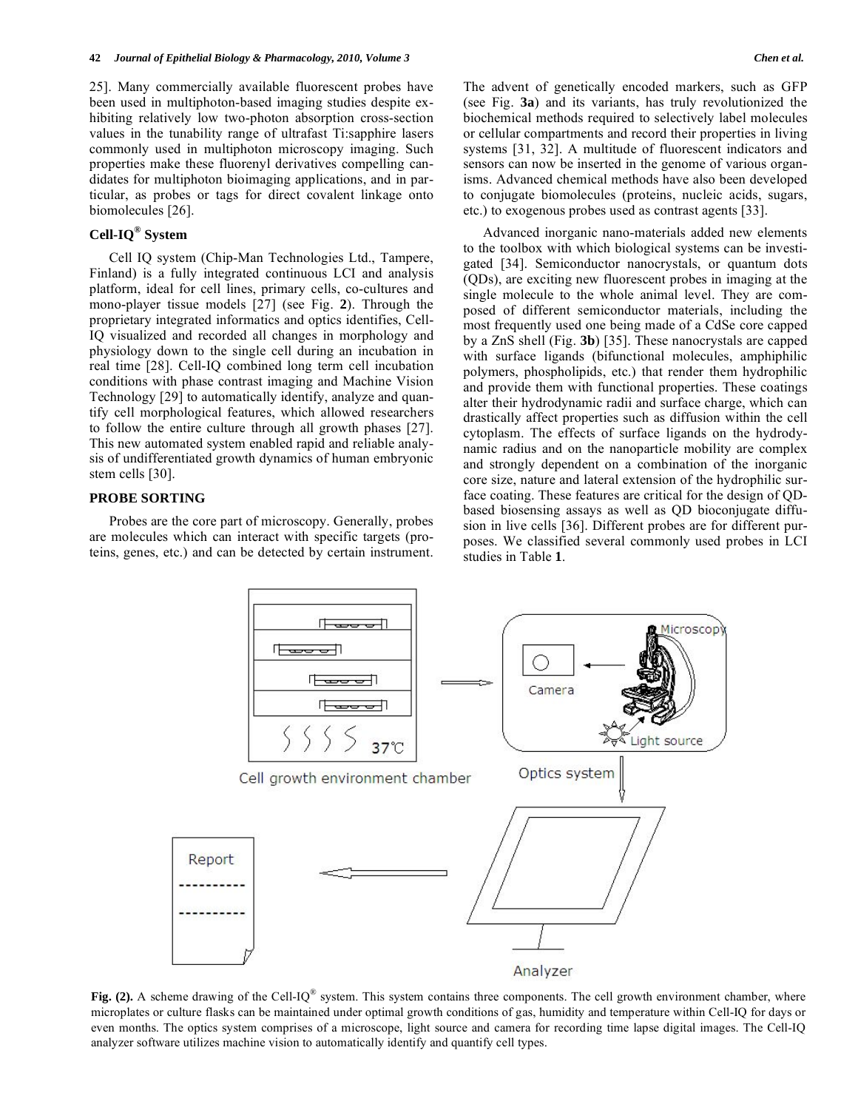25]. Many commercially available fluorescent probes have been used in multiphoton-based imaging studies despite exhibiting relatively low two-photon absorption cross-section values in the tunability range of ultrafast Ti:sapphire lasers commonly used in multiphoton microscopy imaging. Such properties make these fluorenyl derivatives compelling candidates for multiphoton bioimaging applications, and in particular, as probes or tags for direct covalent linkage onto biomolecules [26].

# **Cell-IQ® System**

 Cell IQ system (Chip-Man Technologies Ltd., Tampere, Finland) is a fully integrated continuous LCI and analysis platform, ideal for cell lines, primary cells, co-cultures and mono-player tissue models [27] (see Fig. **2**). Through the proprietary integrated informatics and optics identifies, Cell-IQ visualized and recorded all changes in morphology and physiology down to the single cell during an incubation in real time [28]. Cell-IQ combined long term cell incubation conditions with phase contrast imaging and Machine Vision Technology [29] to automatically identify, analyze and quantify cell morphological features, which allowed researchers to follow the entire culture through all growth phases [27]. This new automated system enabled rapid and reliable analysis of undifferentiated growth dynamics of human embryonic stem cells [30].

# **PROBE SORTING**

 Probes are the core part of microscopy. Generally, probes are molecules which can interact with specific targets (proteins, genes, etc.) and can be detected by certain instrument.

The advent of genetically encoded markers, such as GFP (see Fig. **3a**) and its variants, has truly revolutionized the biochemical methods required to selectively label molecules or cellular compartments and record their properties in living systems [31, 32]. A multitude of fluorescent indicators and sensors can now be inserted in the genome of various organisms. Advanced chemical methods have also been developed to conjugate biomolecules (proteins, nucleic acids, sugars, etc.) to exogenous probes used as contrast agents [33].

 Advanced inorganic nano-materials added new elements to the toolbox with which biological systems can be investigated [34]. Semiconductor nanocrystals, or quantum dots (QDs), are exciting new fluorescent probes in imaging at the single molecule to the whole animal level. They are composed of different semiconductor materials, including the most frequently used one being made of a CdSe core capped by a ZnS shell (Fig. **3b**) [35]. These nanocrystals are capped with surface ligands (bifunctional molecules, amphiphilic polymers, phospholipids, etc.) that render them hydrophilic and provide them with functional properties. These coatings alter their hydrodynamic radii and surface charge, which can drastically affect properties such as diffusion within the cell cytoplasm. The effects of surface ligands on the hydrodynamic radius and on the nanoparticle mobility are complex and strongly dependent on a combination of the inorganic core size, nature and lateral extension of the hydrophilic surface coating. These features are critical for the design of QDbased biosensing assays as well as QD bioconjugate diffusion in live cells [36]. Different probes are for different purposes. We classified several commonly used probes in LCI studies in Table **1**.



**Fig. (2).** A scheme drawing of the Cell-IQ<sup>®</sup> system. This system contains three components. The cell growth environment chamber, where microplates or culture flasks can be maintained under optimal growth conditions of gas, humidity and temperature within Cell-IQ for days or even months. The optics system comprises of a microscope, light source and camera for recording time lapse digital images. The Cell-IQ analyzer software utilizes machine vision to automatically identify and quantify cell types.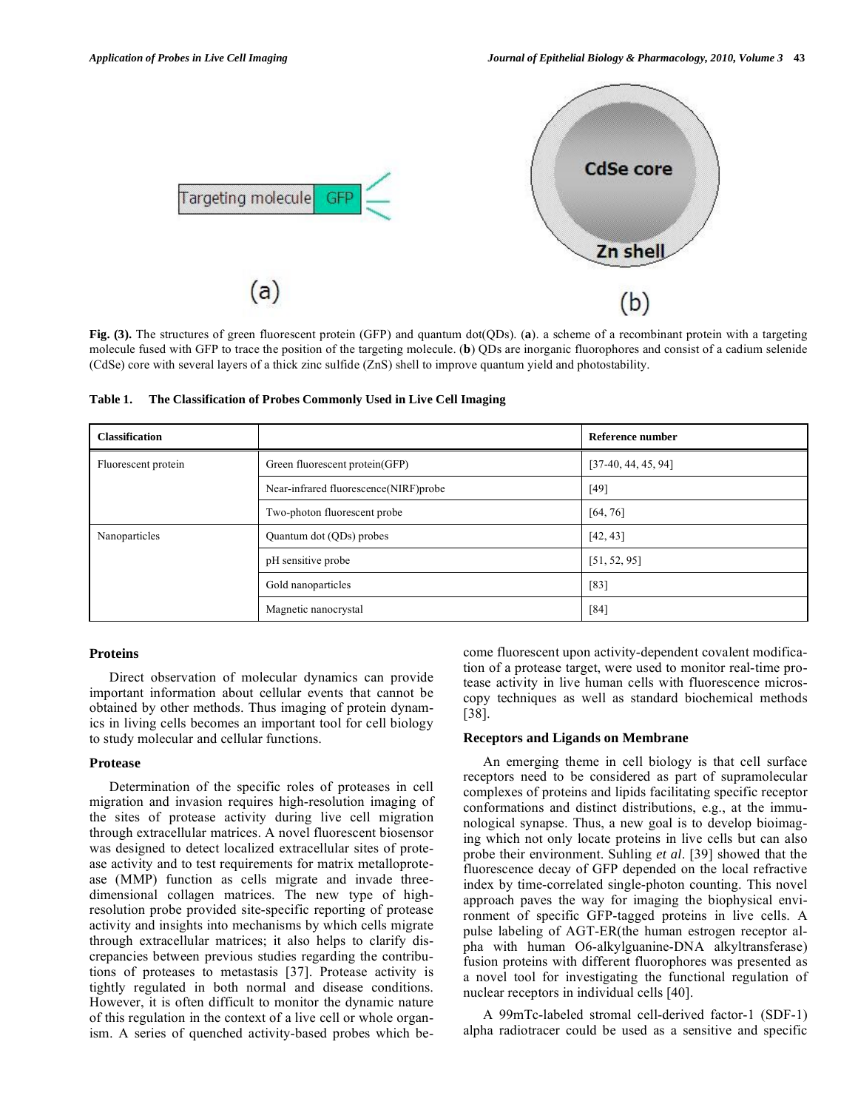

**Fig. (3).** The structures of green fluorescent protein (GFP) and quantum dot(QDs). (**a**). a scheme of a recombinant protein with a targeting molecule fused with GFP to trace the position of the targeting molecule. (**b**) QDs are inorganic fluorophores and consist of a cadium selenide (CdSe) core with several layers of a thick zinc sulfide (ZnS) shell to improve quantum yield and photostability.

**Table 1. The Classification of Probes Commonly Used in Live Cell Imaging** 

| <b>Classification</b> |                                       | Reference number      |
|-----------------------|---------------------------------------|-----------------------|
| Fluorescent protein   | Green fluorescent protein(GFP)        | $[37-40, 44, 45, 94]$ |
|                       | Near-infrared fluorescence(NIRF)probe | $[49]$                |
|                       | Two-photon fluorescent probe          | [64, 76]              |
| Nanoparticles         | Quantum dot (QDs) probes              | [42, 43]              |
|                       | pH sensitive probe                    | [51, 52, 95]          |
|                       | Gold nanoparticles                    | $[83]$                |
|                       | Magnetic nanocrystal                  | [84]                  |

### **Proteins**

 Direct observation of molecular dynamics can provide important information about cellular events that cannot be obtained by other methods. Thus imaging of protein dynamics in living cells becomes an important tool for cell biology to study molecular and cellular functions.

# **Protease**

 Determination of the specific roles of proteases in cell migration and invasion requires high-resolution imaging of the sites of protease activity during live cell migration through extracellular matrices. A novel fluorescent biosensor was designed to detect localized extracellular sites of protease activity and to test requirements for matrix metalloprotease (MMP) function as cells migrate and invade threedimensional collagen matrices. The new type of highresolution probe provided site-specific reporting of protease activity and insights into mechanisms by which cells migrate through extracellular matrices; it also helps to clarify discrepancies between previous studies regarding the contributions of proteases to metastasis [37]. Protease activity is tightly regulated in both normal and disease conditions. However, it is often difficult to monitor the dynamic nature of this regulation in the context of a live cell or whole organism. A series of quenched activity-based probes which become fluorescent upon activity-dependent covalent modification of a protease target, were used to monitor real-time protease activity in live human cells with fluorescence microscopy techniques as well as standard biochemical methods [38].

# **Receptors and Ligands on Membrane**

 An emerging theme in cell biology is that cell surface receptors need to be considered as part of supramolecular complexes of proteins and lipids facilitating specific receptor conformations and distinct distributions, e.g., at the immunological synapse. Thus, a new goal is to develop bioimaging which not only locate proteins in live cells but can also probe their environment. Suhling *et al*. [39] showed that the fluorescence decay of GFP depended on the local refractive index by time-correlated single-photon counting. This novel approach paves the way for imaging the biophysical environment of specific GFP-tagged proteins in live cells. A pulse labeling of AGT-ER(the human estrogen receptor alpha with human O6-alkylguanine-DNA alkyltransferase) fusion proteins with different fluorophores was presented as a novel tool for investigating the functional regulation of nuclear receptors in individual cells [40].

 A 99mTc-labeled stromal cell-derived factor-1 (SDF-1) alpha radiotracer could be used as a sensitive and specific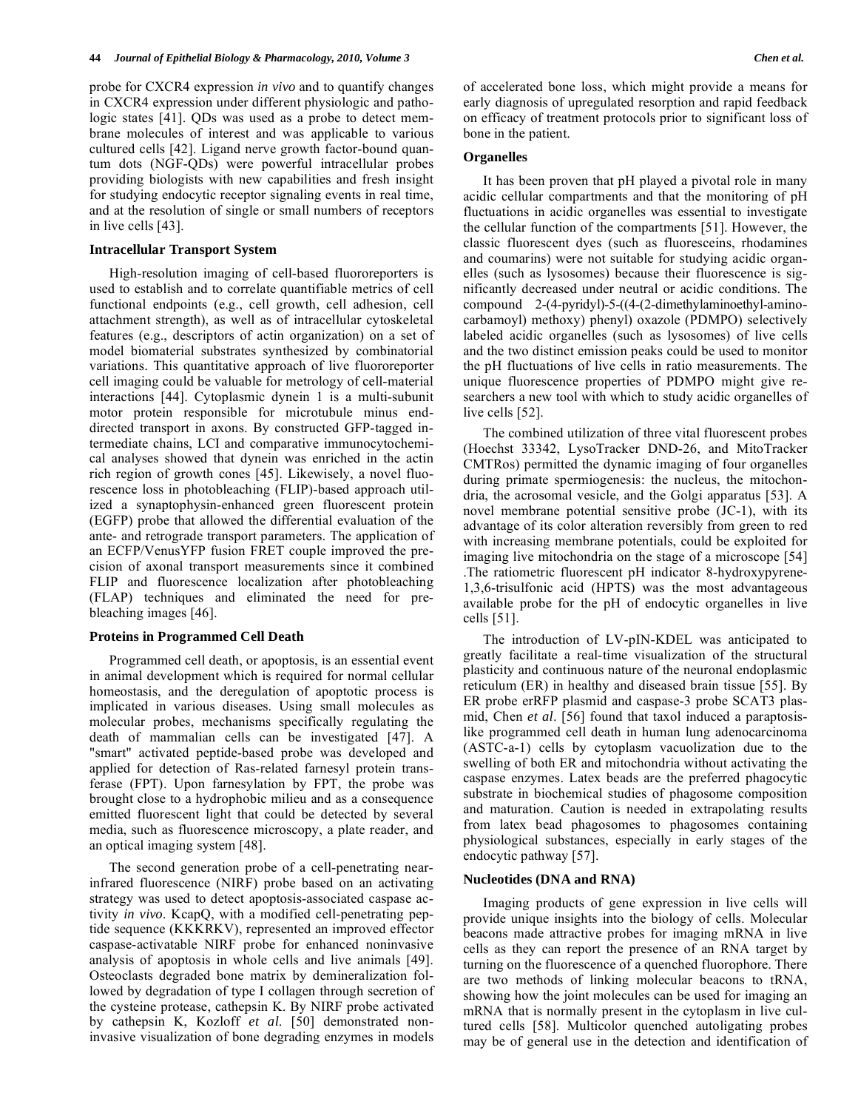probe for CXCR4 expression *in vivo* and to quantify changes in CXCR4 expression under different physiologic and pathologic states [41]. QDs was used as a probe to detect membrane molecules of interest and was applicable to various cultured cells [42]. Ligand nerve growth factor-bound quantum dots (NGF-QDs) were powerful intracellular probes providing biologists with new capabilities and fresh insight for studying endocytic receptor signaling events in real time, and at the resolution of single or small numbers of receptors in live cells [43].

#### **Intracellular Transport System**

 High-resolution imaging of cell-based fluororeporters is used to establish and to correlate quantifiable metrics of cell functional endpoints (e.g., cell growth, cell adhesion, cell attachment strength), as well as of intracellular cytoskeletal features (e.g., descriptors of actin organization) on a set of model biomaterial substrates synthesized by combinatorial variations. This quantitative approach of live fluororeporter cell imaging could be valuable for metrology of cell-material interactions [44]. Cytoplasmic dynein 1 is a multi-subunit motor protein responsible for microtubule minus enddirected transport in axons. By constructed GFP-tagged intermediate chains, LCI and comparative immunocytochemical analyses showed that dynein was enriched in the actin rich region of growth cones [45]. Likewisely, a novel fluorescence loss in photobleaching (FLIP)-based approach utilized a synaptophysin-enhanced green fluorescent protein (EGFP) probe that allowed the differential evaluation of the ante- and retrograde transport parameters. The application of an ECFP/VenusYFP fusion FRET couple improved the precision of axonal transport measurements since it combined FLIP and fluorescence localization after photobleaching (FLAP) techniques and eliminated the need for prebleaching images [46].

#### **Proteins in Programmed Cell Death**

 Programmed cell death, or apoptosis, is an essential event in animal development which is required for normal cellular homeostasis, and the deregulation of apoptotic process is implicated in various diseases. Using small molecules as molecular probes, mechanisms specifically regulating the death of mammalian cells can be investigated [47]. A "smart" activated peptide-based probe was developed and applied for detection of Ras-related farnesyl protein transferase (FPT). Upon farnesylation by FPT, the probe was brought close to a hydrophobic milieu and as a consequence emitted fluorescent light that could be detected by several media, such as fluorescence microscopy, a plate reader, and an optical imaging system [48].

 The second generation probe of a cell-penetrating nearinfrared fluorescence (NIRF) probe based on an activating strategy was used to detect apoptosis-associated caspase activity *in vivo*. KcapQ, with a modified cell-penetrating peptide sequence (KKKRKV), represented an improved effector caspase-activatable NIRF probe for enhanced noninvasive analysis of apoptosis in whole cells and live animals [49]. Osteoclasts degraded bone matrix by demineralization followed by degradation of type I collagen through secretion of the cysteine protease, cathepsin K. By NIRF probe activated by cathepsin K, Kozloff *et al*. [50] demonstrated noninvasive visualization of bone degrading enzymes in models

of accelerated bone loss, which might provide a means for early diagnosis of upregulated resorption and rapid feedback on efficacy of treatment protocols prior to significant loss of bone in the patient.

#### **Organelles**

 It has been proven that pH played a pivotal role in many acidic cellular compartments and that the monitoring of pH fluctuations in acidic organelles was essential to investigate the cellular function of the compartments [51]. However, the classic fluorescent dyes (such as fluoresceins, rhodamines and coumarins) were not suitable for studying acidic organelles (such as lysosomes) because their fluorescence is significantly decreased under neutral or acidic conditions. The compound 2-(4-pyridyl)-5-((4-(2-dimethylaminoethyl-aminocarbamoyl) methoxy) phenyl) oxazole (PDMPO) selectively labeled acidic organelles (such as lysosomes) of live cells and the two distinct emission peaks could be used to monitor the pH fluctuations of live cells in ratio measurements. The unique fluorescence properties of PDMPO might give researchers a new tool with which to study acidic organelles of live cells [52].

 The combined utilization of three vital fluorescent probes (Hoechst 33342, LysoTracker DND-26, and MitoTracker CMTRos) permitted the dynamic imaging of four organelles during primate spermiogenesis: the nucleus, the mitochondria, the acrosomal vesicle, and the Golgi apparatus [53]. A novel membrane potential sensitive probe (JC-1), with its advantage of its color alteration reversibly from green to red with increasing membrane potentials, could be exploited for imaging live mitochondria on the stage of a microscope [54] .The ratiometric fluorescent pH indicator 8-hydroxypyrene-1,3,6-trisulfonic acid (HPTS) was the most advantageous available probe for the pH of endocytic organelles in live cells [51].

 The introduction of LV-pIN-KDEL was anticipated to greatly facilitate a real-time visualization of the structural plasticity and continuous nature of the neuronal endoplasmic reticulum (ER) in healthy and diseased brain tissue [55]. By ER probe erRFP plasmid and caspase-3 probe SCAT3 plasmid, Chen *et al*. [56] found that taxol induced a paraptosislike programmed cell death in human lung adenocarcinoma (ASTC-a-1) cells by cytoplasm vacuolization due to the swelling of both ER and mitochondria without activating the caspase enzymes. Latex beads are the preferred phagocytic substrate in biochemical studies of phagosome composition and maturation. Caution is needed in extrapolating results from latex bead phagosomes to phagosomes containing physiological substances, especially in early stages of the endocytic pathway [57].

# **Nucleotides (DNA and RNA)**

 Imaging products of gene expression in live cells will provide unique insights into the biology of cells. Molecular beacons made attractive probes for imaging mRNA in live cells as they can report the presence of an RNA target by turning on the fluorescence of a quenched fluorophore. There are two methods of linking molecular beacons to tRNA, showing how the joint molecules can be used for imaging an mRNA that is normally present in the cytoplasm in live cultured cells [58]. Multicolor quenched autoligating probes may be of general use in the detection and identification of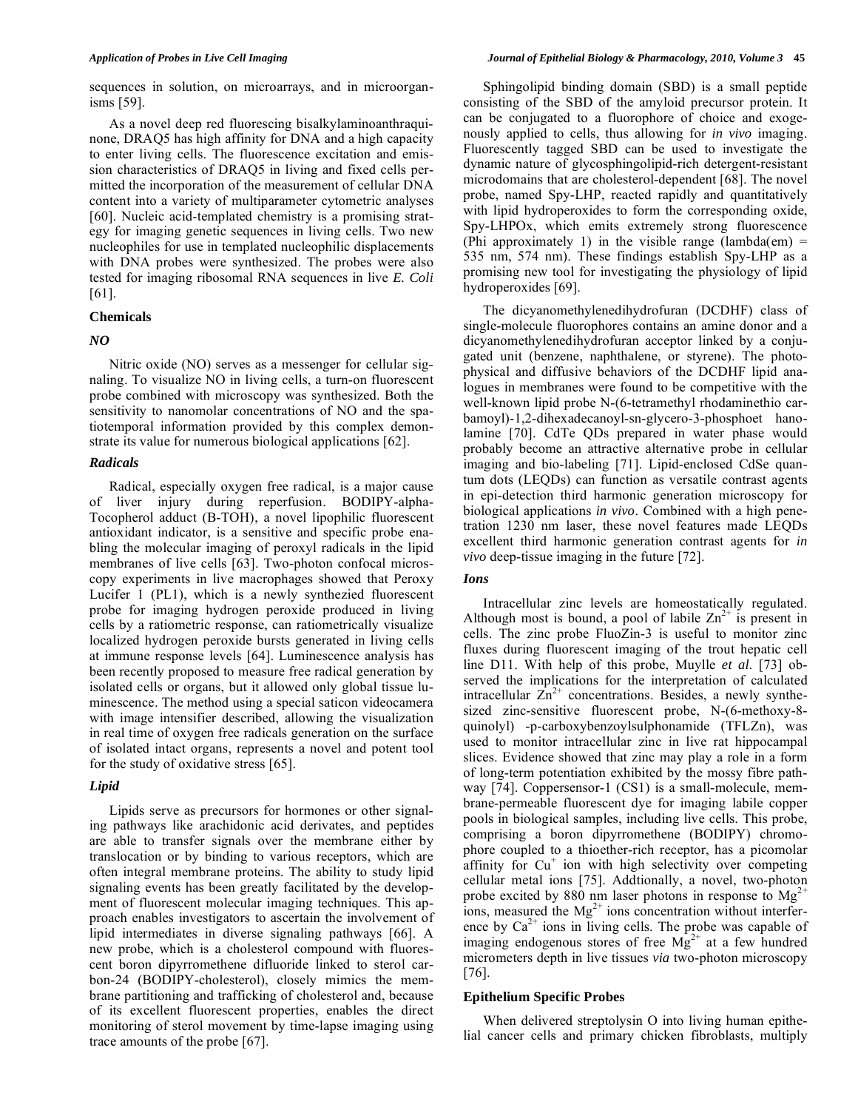sequences in solution, on microarrays, and in microorganisms [59].

 As a novel deep red fluorescing bisalkylaminoanthraquinone, DRAQ5 has high affinity for DNA and a high capacity to enter living cells. The fluorescence excitation and emission characteristics of DRAQ5 in living and fixed cells permitted the incorporation of the measurement of cellular DNA content into a variety of multiparameter cytometric analyses [60]. Nucleic acid-templated chemistry is a promising strategy for imaging genetic sequences in living cells. Two new nucleophiles for use in templated nucleophilic displacements with DNA probes were synthesized. The probes were also tested for imaging ribosomal RNA sequences in live *E. Coli* [61].

# **Chemicals**

# *NO*

 Nitric oxide (NO) serves as a messenger for cellular signaling. To visualize NO in living cells, a turn-on fluorescent probe combined with microscopy was synthesized. Both the sensitivity to nanomolar concentrations of NO and the spatiotemporal information provided by this complex demonstrate its value for numerous biological applications [62].

# *Radicals*

 Radical, especially oxygen free radical, is a major cause of liver injury during reperfusion. BODIPY-alpha-Tocopherol adduct (B-TOH), a novel lipophilic fluorescent antioxidant indicator, is a sensitive and specific probe enabling the molecular imaging of peroxyl radicals in the lipid membranes of live cells [63]. Two-photon confocal microscopy experiments in live macrophages showed that Peroxy Lucifer 1 (PL1), which is a newly synthezied fluorescent probe for imaging hydrogen peroxide produced in living cells by a ratiometric response, can ratiometrically visualize localized hydrogen peroxide bursts generated in living cells at immune response levels [64]. Luminescence analysis has been recently proposed to measure free radical generation by isolated cells or organs, but it allowed only global tissue luminescence. The method using a special saticon videocamera with image intensifier described, allowing the visualization in real time of oxygen free radicals generation on the surface of isolated intact organs, represents a novel and potent tool for the study of oxidative stress [65].

# *Lipid*

 Lipids serve as precursors for hormones or other signaling pathways like arachidonic acid derivates, and peptides are able to transfer signals over the membrane either by translocation or by binding to various receptors, which are often integral membrane proteins. The ability to study lipid signaling events has been greatly facilitated by the development of fluorescent molecular imaging techniques. This approach enables investigators to ascertain the involvement of lipid intermediates in diverse signaling pathways [66]. A new probe, which is a cholesterol compound with fluorescent boron dipyrromethene difluoride linked to sterol carbon-24 (BODIPY-cholesterol), closely mimics the membrane partitioning and trafficking of cholesterol and, because of its excellent fluorescent properties, enables the direct monitoring of sterol movement by time-lapse imaging using trace amounts of the probe [67].

 Sphingolipid binding domain (SBD) is a small peptide consisting of the SBD of the amyloid precursor protein. It can be conjugated to a fluorophore of choice and exogenously applied to cells, thus allowing for *in vivo* imaging. Fluorescently tagged SBD can be used to investigate the dynamic nature of glycosphingolipid-rich detergent-resistant microdomains that are cholesterol-dependent [68]. The novel probe, named Spy-LHP, reacted rapidly and quantitatively with lipid hydroperoxides to form the corresponding oxide, Spy-LHPOx, which emits extremely strong fluorescence (Phi approximately 1) in the visible range (lambda(em) = 535 nm, 574 nm). These findings establish Spy-LHP as a promising new tool for investigating the physiology of lipid hydroperoxides [69].

 The dicyanomethylenedihydrofuran (DCDHF) class of single-molecule fluorophores contains an amine donor and a dicyanomethylenedihydrofuran acceptor linked by a conjugated unit (benzene, naphthalene, or styrene). The photophysical and diffusive behaviors of the DCDHF lipid analogues in membranes were found to be competitive with the well-known lipid probe N-(6-tetramethyl rhodaminethio carbamoyl)-1,2-dihexadecanoyl-sn-glycero-3-phosphoet hanolamine [70]. CdTe QDs prepared in water phase would probably become an attractive alternative probe in cellular imaging and bio-labeling [71]. Lipid-enclosed CdSe quantum dots (LEQDs) can function as versatile contrast agents in epi-detection third harmonic generation microscopy for biological applications *in vivo*. Combined with a high penetration 1230 nm laser, these novel features made LEQDs excellent third harmonic generation contrast agents for *in vivo* deep-tissue imaging in the future [72].

### *Ions*

 Intracellular zinc levels are homeostatically regulated. Although most is bound, a pool of labile  $\text{Zn}^{2+}$  is present in cells. The zinc probe FluoZin-3 is useful to monitor zinc fluxes during fluorescent imaging of the trout hepatic cell line D11. With help of this probe, Muylle *et al*. [73] observed the implications for the interpretation of calculated intracellular  $Zn^{2+}$  concentrations. Besides, a newly synthesized zinc-sensitive fluorescent probe, N-(6-methoxy-8 quinolyl) -p-carboxybenzoylsulphonamide (TFLZn), was used to monitor intracellular zinc in live rat hippocampal slices. Evidence showed that zinc may play a role in a form of long-term potentiation exhibited by the mossy fibre pathway [74]. Coppersensor-1 (CS1) is a small-molecule, membrane-permeable fluorescent dye for imaging labile copper pools in biological samples, including live cells. This probe, comprising a boron dipyrromethene (BODIPY) chromophore coupled to a thioether-rich receptor, has a picomolar affinity for Cu<sup>+</sup> ion with high selectivity over competing cellular metal ions [75]. Addtionally, a novel, two-photon probe excited by 880 nm laser photons in response to  $Mg^{2+}$ ions, measured the  $Mg^{2+}$  ions concentration without interference by  $Ca^{2+}$  ions in living cells. The probe was capable of imaging endogenous stores of free  $Mg^{2+}$  at a few hundred micrometers depth in live tissues *via* two-photon microscopy [76].

# **Epithelium Specific Probes**

When delivered streptolysin O into living human epithelial cancer cells and primary chicken fibroblasts, multiply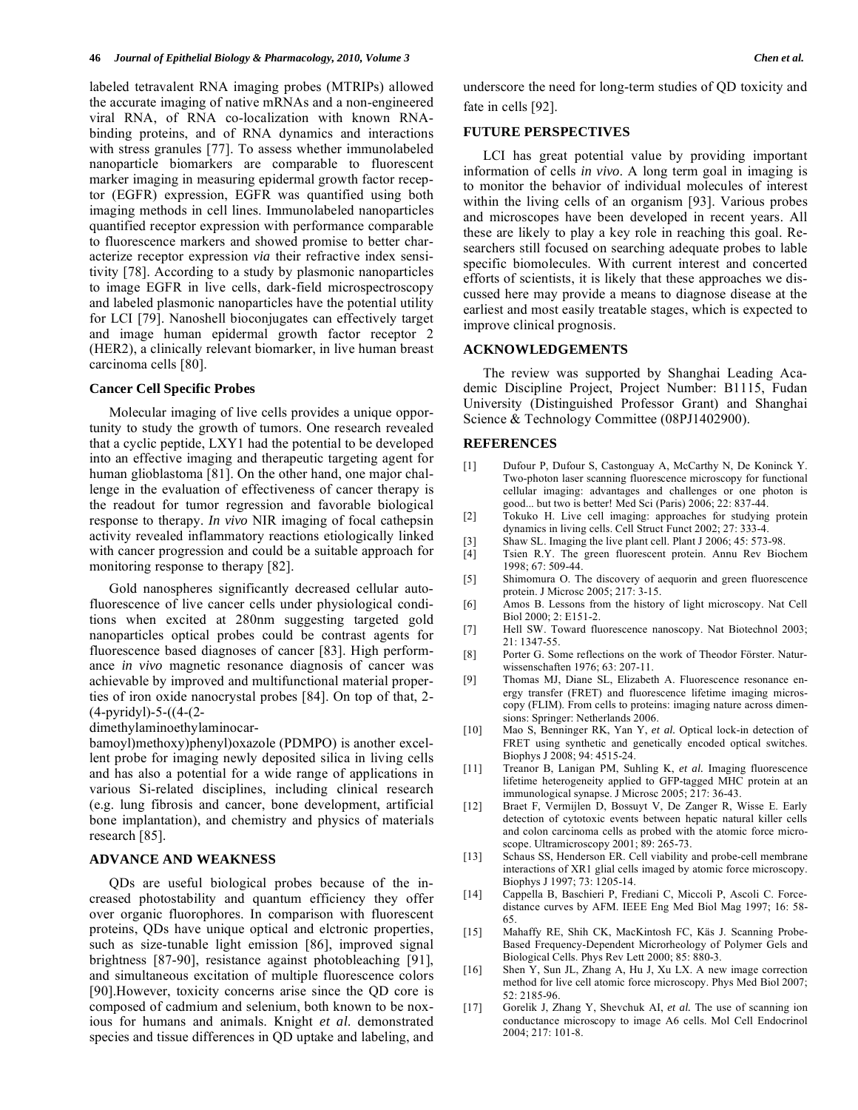labeled tetravalent RNA imaging probes (MTRIPs) allowed the accurate imaging of native mRNAs and a non-engineered viral RNA, of RNA co-localization with known RNAbinding proteins, and of RNA dynamics and interactions with stress granules [77]. To assess whether immunolabeled nanoparticle biomarkers are comparable to fluorescent marker imaging in measuring epidermal growth factor receptor (EGFR) expression, EGFR was quantified using both imaging methods in cell lines. Immunolabeled nanoparticles quantified receptor expression with performance comparable to fluorescence markers and showed promise to better characterize receptor expression *via* their refractive index sensitivity [78]. According to a study by plasmonic nanoparticles to image EGFR in live cells, dark-field microspectroscopy and labeled plasmonic nanoparticles have the potential utility for LCI [79]. Nanoshell bioconjugates can effectively target and image human epidermal growth factor receptor 2 (HER2), a clinically relevant biomarker, in live human breast carcinoma cells [80].

# **Cancer Cell Specific Probes**

 Molecular imaging of live cells provides a unique opportunity to study the growth of tumors. One research revealed that a cyclic peptide, LXY1 had the potential to be developed into an effective imaging and therapeutic targeting agent for human glioblastoma [81]. On the other hand, one major challenge in the evaluation of effectiveness of cancer therapy is the readout for tumor regression and favorable biological response to therapy. *In vivo* NIR imaging of focal cathepsin activity revealed inflammatory reactions etiologically linked with cancer progression and could be a suitable approach for monitoring response to therapy [82].

 Gold nanospheres significantly decreased cellular autofluorescence of live cancer cells under physiological conditions when excited at 280nm suggesting targeted gold nanoparticles optical probes could be contrast agents for fluorescence based diagnoses of cancer [83]. High performance *in vivo* magnetic resonance diagnosis of cancer was achievable by improved and multifunctional material properties of iron oxide nanocrystal probes [84]. On top of that, 2- (4-pyridyl)-5-((4-(2-

dimethylaminoethylaminocar-

bamoyl)methoxy)phenyl)oxazole (PDMPO) is another excellent probe for imaging newly deposited silica in living cells and has also a potential for a wide range of applications in various Si-related disciplines, including clinical research (e.g. lung fibrosis and cancer, bone development, artificial bone implantation), and chemistry and physics of materials research [85].

# **ADVANCE AND WEAKNESS**

 QDs are useful biological probes because of the increased photostability and quantum efficiency they offer over organic fluorophores. In comparison with fluorescent proteins, QDs have unique optical and elctronic properties, such as size-tunable light emission [86], improved signal brightness [87-90], resistance against photobleaching [91], and simultaneous excitation of multiple fluorescence colors [90].However, toxicity concerns arise since the QD core is composed of cadmium and selenium, both known to be noxious for humans and animals. Knight *et al*. demonstrated species and tissue differences in QD uptake and labeling, and underscore the need for long-term studies of QD toxicity and fate in cells [92].

### **FUTURE PERSPECTIVES**

 LCI has great potential value by providing important information of cells *in vivo*. A long term goal in imaging is to monitor the behavior of individual molecules of interest within the living cells of an organism [93]. Various probes and microscopes have been developed in recent years. All these are likely to play a key role in reaching this goal. Researchers still focused on searching adequate probes to lable specific biomolecules. With current interest and concerted efforts of scientists, it is likely that these approaches we discussed here may provide a means to diagnose disease at the earliest and most easily treatable stages, which is expected to improve clinical prognosis.

### **ACKNOWLEDGEMENTS**

 The review was supported by Shanghai Leading Academic Discipline Project, Project Number: B1115, Fudan University (Distinguished Professor Grant) and Shanghai Science & Technology Committee (08PJ1402900).

#### **REFERENCES**

- [1] Dufour P, Dufour S, Castonguay A, McCarthy N, De Koninck Y. Two-photon laser scanning fluorescence microscopy for functional cellular imaging: advantages and challenges or one photon is good... but two is better! Med Sci (Paris) 2006; 22: 837-44.
- [2] Tokuko H. Live cell imaging: approaches for studying protein dynamics in living cells. Cell Struct Funct 2002; 27: 333-4.
- [3] Shaw SL. Imaging the live plant cell. Plant J 2006; 45: 573-98.<br>[4] Tsien R.Y. The green fluorescent protein. Annu Rev Bior
- Tsien R.Y. The green fluorescent protein. Annu Rev Biochem 1998; 67: 509-44.
- [5] Shimomura O. The discovery of aequorin and green fluorescence protein. J Microsc 2005; 217: 3-15.
- [6] Amos B. Lessons from the history of light microscopy. Nat Cell Biol 2000; 2: E151-2.
- [7] Hell SW. Toward fluorescence nanoscopy. Nat Biotechnol 2003; 21: 1347-55.
- [8] Porter G. Some reflections on the work of Theodor Förster. Naturwissenschaften 1976; 63: 207-11.
- [9] Thomas MJ, Diane SL, Elizabeth A. Fluorescence resonance energy transfer (FRET) and fluorescence lifetime imaging microscopy (FLIM). From cells to proteins: imaging nature across dimensions: Springer: Netherlands 2006.
- [10] Mao S, Benninger RK, Yan Y, *et al.* Optical lock-in detection of FRET using synthetic and genetically encoded optical switches. Biophys J 2008; 94: 4515-24.
- [11] Treanor B, Lanigan PM, Suhling K, *et al.* Imaging fluorescence lifetime heterogeneity applied to GFP-tagged MHC protein at an immunological synapse. J Microsc 2005; 217: 36-43.
- [12] Braet F, Vermijlen D, Bossuyt V, De Zanger R, Wisse E. Early detection of cytotoxic events between hepatic natural killer cells and colon carcinoma cells as probed with the atomic force microscope. Ultramicroscopy 2001; 89: 265-73.
- [13] Schaus SS, Henderson ER. Cell viability and probe-cell membrane interactions of XR1 glial cells imaged by atomic force microscopy. Biophys J 1997; 73: 1205-14.
- [14] Cappella B, Baschieri P, Frediani C, Miccoli P, Ascoli C. Forcedistance curves by AFM. IEEE Eng Med Biol Mag 1997; 16: 58- 65.
- [15] Mahaffy RE, Shih CK, MacKintosh FC, Käs J. Scanning Probe-Based Frequency-Dependent Microrheology of Polymer Gels and Biological Cells. Phys Rev Lett 2000; 85: 880-3.
- [16] Shen Y, Sun JL, Zhang A, Hu J, Xu LX. A new image correction method for live cell atomic force microscopy. Phys Med Biol 2007; 52: 2185-96.
- [17] Gorelik J, Zhang Y, Shevchuk AI, *et al.* The use of scanning ion conductance microscopy to image A6 cells. Mol Cell Endocrinol 2004; 217: 101-8.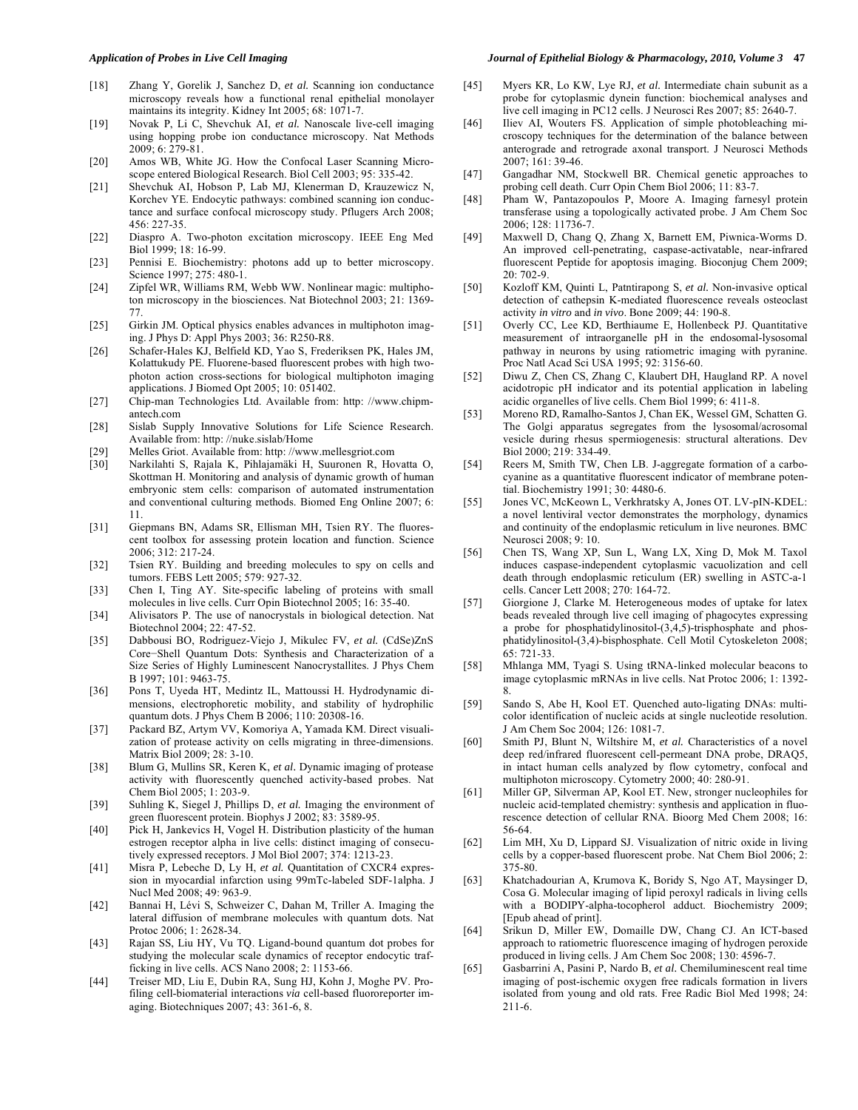- [18] Zhang Y, Gorelik J, Sanchez D, *et al.* Scanning ion conductance microscopy reveals how a functional renal epithelial monolayer maintains its integrity. Kidney Int 2005; 68: 1071-7.
- [19] Novak P, Li C, Shevchuk AI, *et al.* Nanoscale live-cell imaging using hopping probe ion conductance microscopy. Nat Methods 2009; 6: 279-81.
- [20] Amos WB, White JG. How the Confocal Laser Scanning Microscope entered Biological Research. Biol Cell 2003; 95: 335-42.
- [21] Shevchuk AI, Hobson P, Lab MJ, Klenerman D, Krauzewicz N, Korchev YE. Endocytic pathways: combined scanning ion conductance and surface confocal microscopy study. Pflugers Arch 2008; 456: 227-35.
- [22] Diaspro A. Two-photon excitation microscopy. IEEE Eng Med Biol 1999; 18: 16-99.
- [23] Pennisi E. Biochemistry: photons add up to better microscopy. Science 1997; 275: 480-1.
- [24] Zipfel WR, Williams RM, Webb WW. Nonlinear magic: multiphoton microscopy in the biosciences. Nat Biotechnol 2003; 21: 1369- 77.
- [25] Girkin JM. Optical physics enables advances in multiphoton imaging. J Phys D: Appl Phys 2003; 36: R250-R8.
- [26] Schafer-Hales KJ, Belfield KD, Yao S, Frederiksen PK, Hales JM, Kolattukudy PE. Fluorene-based fluorescent probes with high twophoton action cross-sections for biological multiphoton imaging applications. J Biomed Opt 2005; 10: 051402.
- [27] Chip-man Technologies Ltd. Available from: http: //www.chipmantech.com
- [28] Sislab Supply Innovative Solutions for Life Science Research. Available from: http: //nuke.sislab/Home
- [29] Melles Griot. Available from: http: //www.mellesgriot.com
- [30] Narkilahti S, Rajala K, Pihlajamäki H, Suuronen R, Hovatta O, Skottman H. Monitoring and analysis of dynamic growth of human embryonic stem cells: comparison of automated instrumentation and conventional culturing methods. Biomed Eng Online 2007; 6: 11.
- [31] Giepmans BN, Adams SR, Ellisman MH, Tsien RY. The fluorescent toolbox for assessing protein location and function. Science 2006; 312: 217-24.
- [32] Tsien RY. Building and breeding molecules to spy on cells and tumors. FEBS Lett 2005; 579: 927-32.
- [33] Chen I, Ting AY. Site-specific labeling of proteins with small molecules in live cells. Curr Opin Biotechnol 2005; 16: 35-40.
- [34] Alivisators P. The use of nanocrystals in biological detection. Nat Biotechnol 2004; 22: 47-52.
- [35] Dabbousi BO, Rodriguez-Viejo J, Mikulec FV, *et al.* (CdSe)ZnS Core-Shell Quantum Dots: Synthesis and Characterization of a Size Series of Highly Luminescent Nanocrystallites. J Phys Chem B 1997; 101: 9463-75.
- [36] Pons T, Uyeda HT, Medintz IL, Mattoussi H. Hydrodynamic dimensions, electrophoretic mobility, and stability of hydrophilic quantum dots. J Phys Chem B 2006; 110: 20308-16.
- [37] Packard BZ, Artym VV, Komoriya A, Yamada KM. Direct visualization of protease activity on cells migrating in three-dimensions. Matrix Biol 2009; 28: 3-10.
- [38] Blum G, Mullins SR, Keren K, *et al.* Dynamic imaging of protease activity with fluorescently quenched activity-based probes. Nat Chem Biol 2005; 1: 203-9.
- [39] Suhling K, Siegel J, Phillips D, *et al.* Imaging the environment of green fluorescent protein. Biophys J 2002; 83: 3589-95.
- [40] Pick H, Jankevics H, Vogel H. Distribution plasticity of the human estrogen receptor alpha in live cells: distinct imaging of consecutively expressed receptors. J Mol Biol 2007; 374: 1213-23.
- [41] Misra P, Lebeche D, Ly H, *et al.* Quantitation of CXCR4 expression in myocardial infarction using 99mTc-labeled SDF-1alpha. J Nucl Med 2008; 49: 963-9.
- [42] Bannai H, Lévi S, Schweizer C, Dahan M, Triller A. Imaging the lateral diffusion of membrane molecules with quantum dots. Nat Protoc 2006; 1: 2628-34.
- [43] Rajan SS, Liu HY, Vu TQ. Ligand-bound quantum dot probes for studying the molecular scale dynamics of receptor endocytic trafficking in live cells. ACS Nano 2008; 2: 1153-66.
- [44] Treiser MD, Liu E, Dubin RA, Sung HJ, Kohn J, Moghe PV. Profiling cell-biomaterial interactions *via* cell-based fluororeporter imaging. Biotechniques 2007; 43: 361-6, 8.
- [45] Myers KR, Lo KW, Lye RJ, *et al.* Intermediate chain subunit as a probe for cytoplasmic dynein function: biochemical analyses and live cell imaging in PC12 cells. J Neurosci Res 2007; 85: 2640-7.
- [46] Iliev AI, Wouters FS. Application of simple photobleaching microscopy techniques for the determination of the balance between anterograde and retrograde axonal transport. J Neurosci Methods 2007; 161: 39-46.
- [47] Gangadhar NM, Stockwell BR. Chemical genetic approaches to probing cell death. Curr Opin Chem Biol 2006; 11: 83-7.
- [48] Pham W, Pantazopoulos P, Moore A. Imaging farnesyl protein transferase using a topologically activated probe. J Am Chem Soc 2006; 128: 11736-7.
- [49] Maxwell D, Chang Q, Zhang X, Barnett EM, Piwnica-Worms D. An improved cell-penetrating, caspase-activatable, near-infrared fluorescent Peptide for apoptosis imaging. Bioconjug Chem 2009;  $20 \cdot 702 - 9$
- [50] Kozloff KM, Quinti L, Patntirapong S, *et al.* Non-invasive optical detection of cathepsin K-mediated fluorescence reveals osteoclast activity *in vitro* and *in vivo*. Bone 2009; 44: 190-8.
- [51] Overly CC, Lee KD, Berthiaume E, Hollenbeck PJ. Quantitative measurement of intraorganelle pH in the endosomal-lysosomal pathway in neurons by using ratiometric imaging with pyranine. Proc Natl Acad Sci USA 1995; 92: 3156-60.
- [52] Diwu Z, Chen CS, Zhang C, Klaubert DH, Haugland RP. A novel acidotropic pH indicator and its potential application in labeling acidic organelles of live cells. Chem Biol 1999; 6: 411-8.
- [53] Moreno RD, Ramalho-Santos J, Chan EK, Wessel GM, Schatten G. The Golgi apparatus segregates from the lysosomal/acrosomal vesicle during rhesus spermiogenesis: structural alterations. Dev Biol 2000; 219: 334-49.
- [54] Reers M, Smith TW, Chen LB. J-aggregate formation of a carbocyanine as a quantitative fluorescent indicator of membrane potential. Biochemistry 1991; 30: 4480-6.
- [55] Jones VC, McKeown L, Verkhratsky A, Jones OT. LV-pIN-KDEL: a novel lentiviral vector demonstrates the morphology, dynamics and continuity of the endoplasmic reticulum in live neurones. BMC Neurosci 2008; 9: 10.
- [56] Chen TS, Wang XP, Sun L, Wang LX, Xing D, Mok M. Taxol induces caspase-independent cytoplasmic vacuolization and cell death through endoplasmic reticulum (ER) swelling in ASTC-a-1 cells. Cancer Lett 2008; 270: 164-72.
- [57] Giorgione J, Clarke M. Heterogeneous modes of uptake for latex beads revealed through live cell imaging of phagocytes expressing a probe for phosphatidylinositol-(3,4,5)-trisphosphate and phosphatidylinositol-(3,4)-bisphosphate. Cell Motil Cytoskeleton 2008; 65: 721-33.
- [58] Mhlanga MM, Tyagi S. Using tRNA-linked molecular beacons to image cytoplasmic mRNAs in live cells. Nat Protoc 2006; 1: 1392- 8.
- [59] Sando S, Abe H, Kool ET. Quenched auto-ligating DNAs: multicolor identification of nucleic acids at single nucleotide resolution. J Am Chem Soc 2004; 126: 1081-7.
- [60] Smith PJ, Blunt N, Wiltshire M, *et al.* Characteristics of a novel deep red/infrared fluorescent cell-permeant DNA probe, DRAQ5, in intact human cells analyzed by flow cytometry, confocal and multiphoton microscopy. Cytometry 2000; 40: 280-91.
- [61] Miller GP, Silverman AP, Kool ET. New, stronger nucleophiles for nucleic acid-templated chemistry: synthesis and application in fluorescence detection of cellular RNA. Bioorg Med Chem 2008; 16: 56-64.
- [62] Lim MH, Xu D, Lippard SJ. Visualization of nitric oxide in living cells by a copper-based fluorescent probe. Nat Chem Biol 2006; 2: 375-80.
- [63] Khatchadourian A, Krumova K, Boridy S, Ngo AT, Maysinger D, Cosa G. Molecular imaging of lipid peroxyl radicals in living cells with a BODIPY-alpha-tocopherol adduct. Biochemistry 2009; [Epub ahead of print].
- [64] Srikun D, Miller EW, Domaille DW, Chang CJ. An ICT-based approach to ratiometric fluorescence imaging of hydrogen peroxide produced in living cells. J Am Chem Soc 2008; 130: 4596-7.
- [65] Gasbarrini A, Pasini P, Nardo B, *et al.* Chemiluminescent real time imaging of post-ischemic oxygen free radicals formation in livers isolated from young and old rats. Free Radic Biol Med 1998; 24: 211-6.